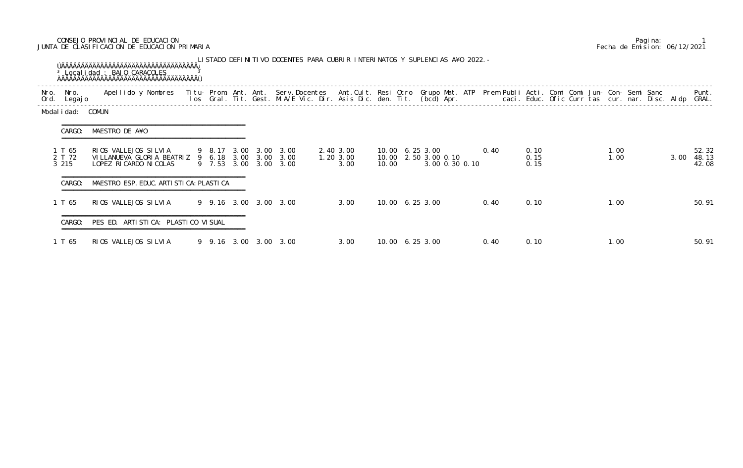## CONSEJO PROVINCIAL DE EDUCACION Pagina: 1 JUNTA DE CLASIFICACION DE EDUCACION PRIMARIA Fecha de Emision: 06/12/2021

| Nro. | Nro.<br>Ord. Legajo       | Apellido y Nombres - Titu- Prom. Ant. Ant. Serv.Docentes - Ant.Cult. Resi Otro Grupo Mat. ATP - Prem Publi Acti. Comi Comi Jun- Con- Semi Sanc - - - - Punt.<br>Ios Gral. Tit. Gest. M.A/E Vic. Dir. Asis Dic. den. Tit. (bcd) Ap |  |  |                                                |                                |       |                                         |                |      |                      |  |              |      | Punt.                   |
|------|---------------------------|-----------------------------------------------------------------------------------------------------------------------------------------------------------------------------------------------------------------------------------|--|--|------------------------------------------------|--------------------------------|-------|-----------------------------------------|----------------|------|----------------------|--|--------------|------|-------------------------|
|      | Modal i dad: COMUN        |                                                                                                                                                                                                                                   |  |  |                                                |                                |       |                                         |                |      |                      |  |              |      |                         |
|      | CARGO:                    | MAESTRO DE A¥O                                                                                                                                                                                                                    |  |  |                                                |                                |       |                                         |                |      |                      |  |              |      |                         |
|      | 1 T 65<br>2 T 72<br>3 215 | RIOS VALLEJOS SILVIA<br>VILLANUEVA GLORIA BEATRIZ 9 6.18 3.00 3.00 3.00<br>LOPEZ RI CARDO NI COLAS                                                                                                                                |  |  | 9 8.17 3.00 3.00 3.00<br>9 7.53 3.00 3.00 3.00 | 2.40 3.00<br>1.20 3.00<br>3.00 | 10.00 | 10.00 6.25 3.00<br>10.00 2.50 3.00 0.10 | 3.00 0.30 0.10 | 0.40 | 0.10<br>0.15<br>0.15 |  | 1.00<br>1.00 | 3.00 | 52.32<br>48.13<br>42.08 |
|      | CARGO:                    | MAESTRO ESP. EDUC. ARTI STI CA: PLASTI CA                                                                                                                                                                                         |  |  |                                                |                                |       |                                         |                |      |                      |  |              |      |                         |
|      | 1 T 65                    | RIOS VALLEJOS SILVIA                                                                                                                                                                                                              |  |  | 9 9.16 3.00 3.00 3.00                          | 3.00                           |       | 10.00 6.25 3.00                         |                | 0.40 | 0.10                 |  | 1.00         |      | 50.91                   |
|      | CARGO:                    | PES ED. ARTISTICA: PLASTICO VISUAL                                                                                                                                                                                                |  |  |                                                |                                |       |                                         |                |      |                      |  |              |      |                         |
|      | 1 T 65                    | RIOS VALLEJOS SILVIA                                                                                                                                                                                                              |  |  | 9 9.16 3.00 3.00 3.00                          | 3.00                           |       | 10.00 6.25 3.00                         |                | 0.40 | 0.10                 |  | 1.00         |      | 50.91                   |

|  | Pagi na: |                              |
|--|----------|------------------------------|
|  |          | Fecha de Emision: 06/12/2021 |